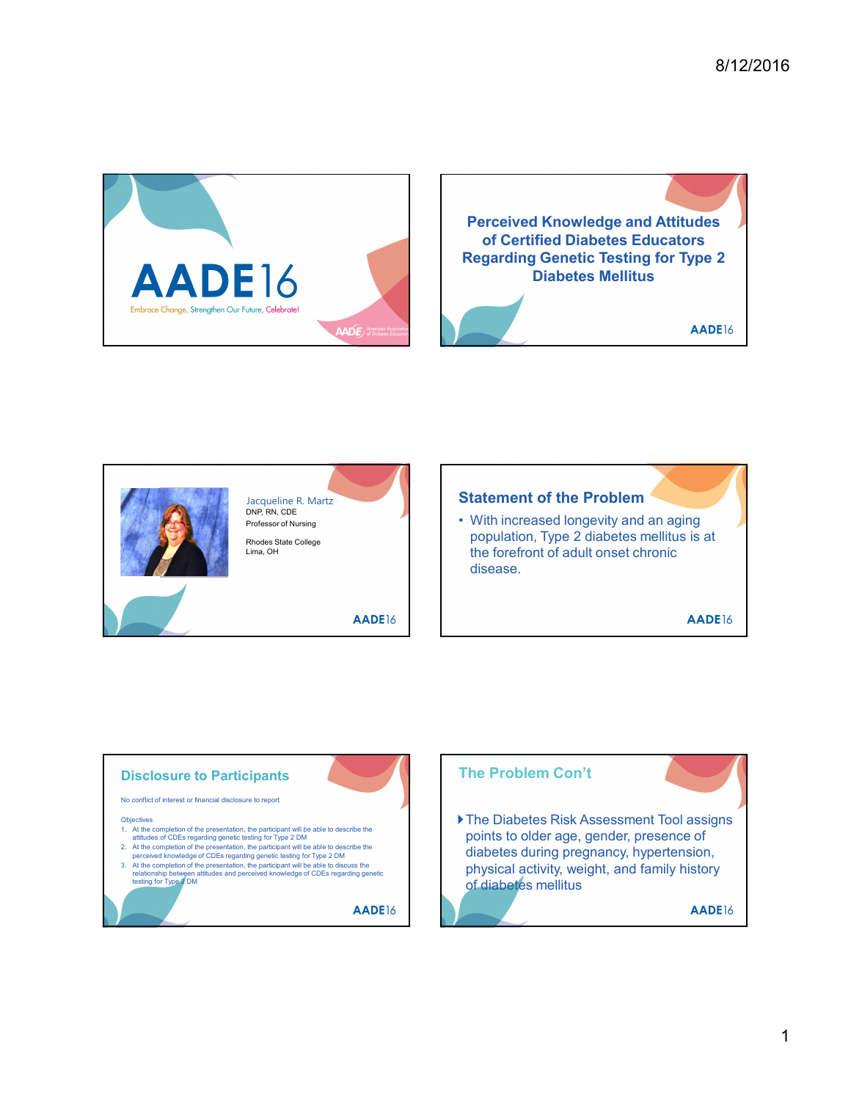





## Statement of the Problem

Lima, OH the forefront of adult onset chronic population, Type 2 diabetes mellitus is at disease.

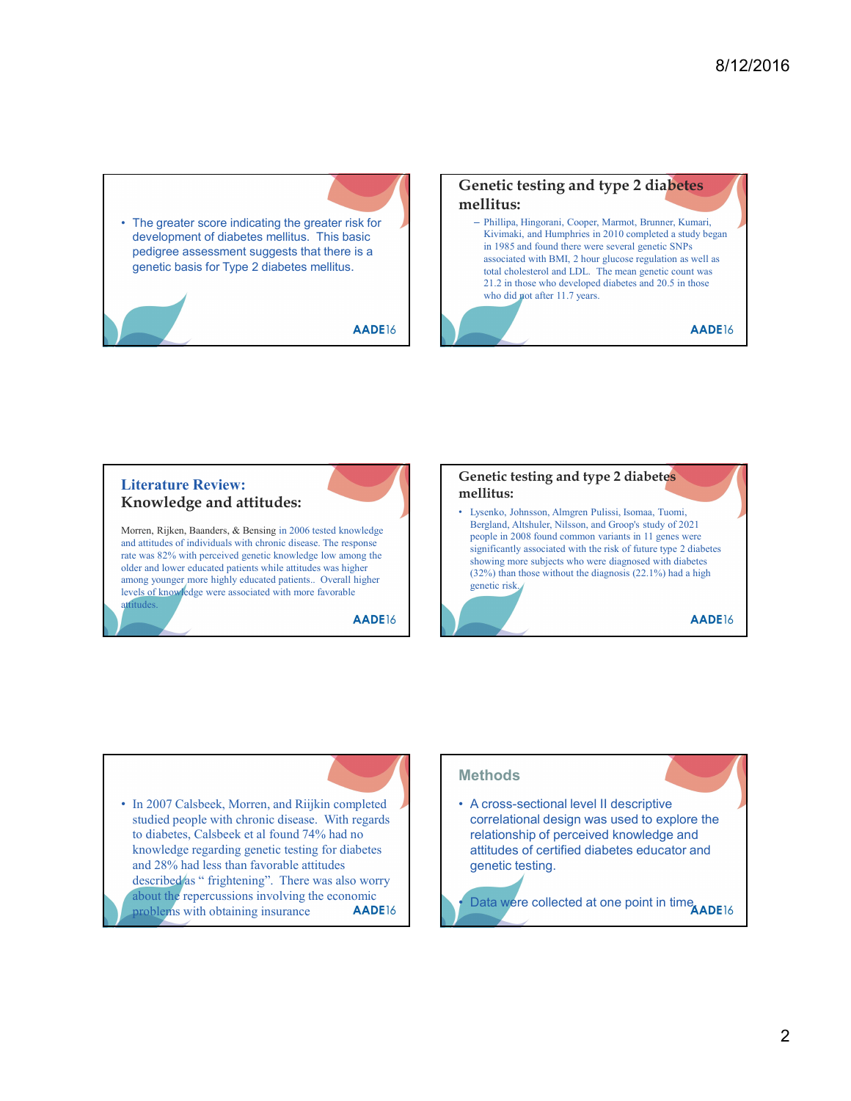development of diabetes mellitus. This basic pedigree assessment suggests that there is a genetic basis for Type 2 diabetes mellitus.

AADE16

# • The greater score indicating the greater risk for<br>
development of diabetes mellitus. This basic<br>
pedigree assessment suggests that there is a<br>
genetic basis for Type 2 diabetes mellitus.<br>
<br>
<br>
<br>
<br>
<br>
<br>
<br>
<br>
<br>
<br>
<br>
<br>
<br>

<br>

<br> Genetic testing and type 2 diabetes mellitus: – Phillipa, Hingorani, Cooper, Marmot, Brunner, Kumari, Kivimaki, and Humphries in 2010 completed a study began in 1985 and found there were several genetic SNPs associated with BMI, 2 hour glucose regulation as well as total cholesterol and LDL. The mean genetic count was 21.2 in those who developed diabetes and 20.5 in those who did not after 11.7 years. AADE16





### **Methods**

correlational design was used to explore the relationship of perceived knowledge and attitudes of certified diabetes educator and genetic testing.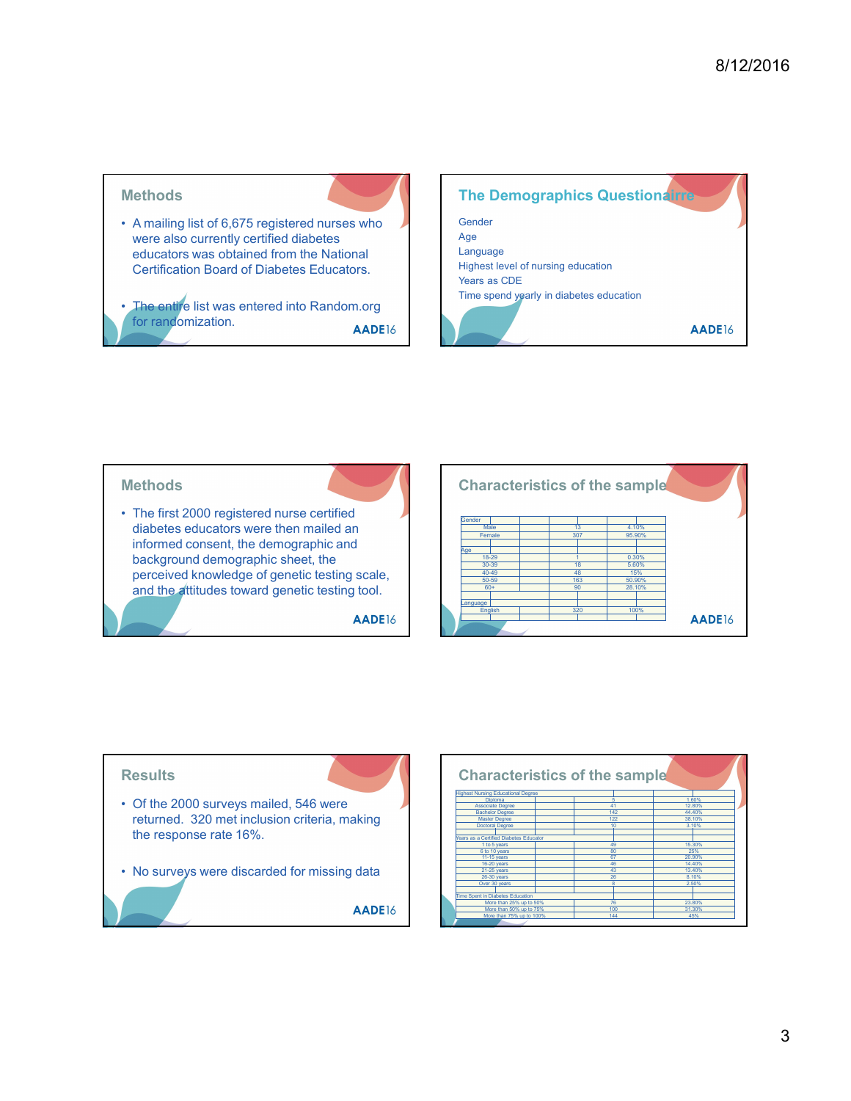



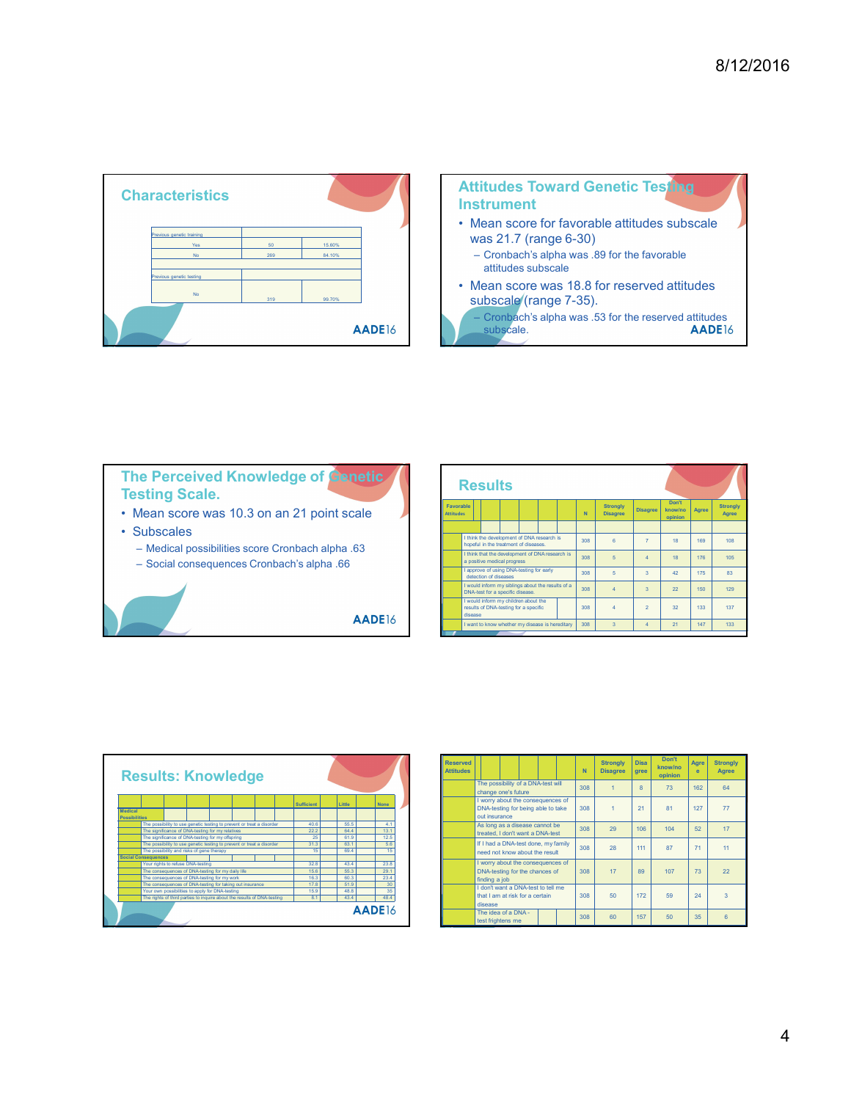| <b>Characteristics</b>                                                                         |           |                  |        |                                      | <b>Instrument</b>                     |                                            | <b>Attitudes Toward Gene</b>                                                                                                                |     |                              |
|------------------------------------------------------------------------------------------------|-----------|------------------|--------|--------------------------------------|---------------------------------------|--------------------------------------------|---------------------------------------------------------------------------------------------------------------------------------------------|-----|------------------------------|
| Previous genetic training<br><b>Yes</b><br><b>No</b><br>Previous genetic testing               | 50<br>269 | 15.60%<br>84.10% |        |                                      |                                       |                                            | • Mean score for favorable a<br>was 21.7 (range 6-30)<br>- Cronbach's alpha was .89 fo<br>attitudes subscale<br>• Mean score was 18.8 for r |     |                              |
| <b>No</b>                                                                                      | 319       | 99.70%           | AADE16 |                                      | subscale.                             |                                            | subscale (range 7-35).<br>- Cronbach's alpha was .53 fo                                                                                     |     |                              |
|                                                                                                |           |                  |        |                                      |                                       |                                            |                                                                                                                                             |     |                              |
| <b>The Perceived Knowledge of Genetic</b><br><b>Testing Scale.</b>                             |           |                  |        |                                      | <b>Results</b>                        |                                            |                                                                                                                                             |     |                              |
| • Mean score was 10.3 on an 21 point scale                                                     |           |                  |        | <b>Favorable</b><br><b>Attitudes</b> |                                       |                                            |                                                                                                                                             | N.  | <b>Stron</b><br><b>Disag</b> |
| • Subscales                                                                                    |           |                  |        |                                      |                                       |                                            |                                                                                                                                             |     |                              |
|                                                                                                |           |                  |        |                                      | hopeful in the treatment of diseases. | I think the development of DNA research is |                                                                                                                                             | 308 | $6 \overline{6}$             |
| - Medical possibilities score Cronbach alpha .63<br>- Social consequences Cronbach's alpha .66 |           |                  |        |                                      | a positive medical progress           |                                            | I think that the development of DNA research is                                                                                             | 308 | 5                            |
|                                                                                                |           |                  |        |                                      | detection of diseases                 | I approve of using DNA-testing for early   |                                                                                                                                             | 308 | 5                            |
|                                                                                                |           |                  |        |                                      | DNA-test for a specific disease.      |                                            | I would inform my siblings about the results of a                                                                                           | 308 | $\overline{a}$               |
|                                                                                                |           |                  |        | disease                              | results of DNA-testing for a specific | I would inform my children about the       |                                                                                                                                             | 308 | $\overline{4}$               |
|                                                                                                |           |                  | AADE16 |                                      |                                       |                                            |                                                                                                                                             |     |                              |





|                                     |         | <b>Instrument</b><br>was 21.7 (range 6-30)<br>attitudes subscale<br>subscale (range 7-35).<br>subscale. |  |                    | • Mean score for favorable attitudes subscale<br>- Cronbach's alpha was .89 for the favorable<br>• Mean score was 18.8 for reserved attitudes<br>- Cronbach's alpha was .53 for the reserved attitudes |                         |                  | - 31                 | AADE16                   |
|-------------------------------------|---------|---------------------------------------------------------------------------------------------------------|--|--------------------|--------------------------------------------------------------------------------------------------------------------------------------------------------------------------------------------------------|-------------------------|------------------|----------------------|--------------------------|
| Favorable<br><b>Attitudes</b>       |         | <b>Results</b>                                                                                          |  | $\bar{\mathbf{N}}$ | <b>Strongly</b><br><b>Disagree</b>                                                                                                                                                                     | <b>Disagree</b>         | Don't<br>know/no | Agree                | <b>Strongly</b><br>Agree |
|                                     |         |                                                                                                         |  |                    |                                                                                                                                                                                                        |                         | opinion          |                      |                          |
|                                     |         | I think the development of DNA research is<br>hopeful in the treatment of diseases                      |  | 308                | 6                                                                                                                                                                                                      | $\overline{7}$          | 18               | 169                  | 108                      |
|                                     |         | think that the development of DNA research is                                                           |  | 308                | $\overline{5}$                                                                                                                                                                                         | $\overline{A}$          | 18               | 176                  | 105                      |
|                                     |         | a positive medical progress<br>approve of using DNA-testing for early                                   |  | 308                | $\sqrt{5}$                                                                                                                                                                                             | $\overline{\mathbf{3}}$ | 42               | 175                  | 83                       |
|                                     |         | detection of diseases<br>would inform my siblings about the results of a                                |  |                    |                                                                                                                                                                                                        |                         |                  |                      |                          |
|                                     |         | DNA-test for a specific disease<br>would inform my children about the                                   |  | 308                | $\sqrt{4}$                                                                                                                                                                                             | $\overline{\mathbf{3}}$ | $\mathbf{22}$    | 150                  | 129                      |
|                                     | disease | results of DNA-testing for a specific                                                                   |  | 308                | $\overline{\mathbf{4}}$                                                                                                                                                                                | $\overline{2}$          | 32               | 133                  | 137                      |
|                                     |         | I want to know whether my disease is hereditary                                                         |  | 308                | $\overline{3}$                                                                                                                                                                                         | $\vert 4 \rangle$       | $\mathbf{21}$    | 147                  | 133                      |
|                                     |         |                                                                                                         |  |                    |                                                                                                                                                                                                        |                         |                  |                      |                          |
|                                     |         |                                                                                                         |  |                    |                                                                                                                                                                                                        |                         |                  |                      |                          |
| <b>Reserved</b><br><b>Attitudes</b> |         |                                                                                                         |  | ${\bf N}$          | <b>Strongly</b><br><b>Disagree</b>                                                                                                                                                                     | <b>Disa</b><br>gree     | Don't<br>know/no | Agre<br>$\mathbf{e}$ | <b>Strongly</b><br>Agree |
|                                     |         | The possibility of a DNA-test will                                                                      |  |                    |                                                                                                                                                                                                        |                         | opinion          |                      |                          |
|                                     |         | change one's future                                                                                     |  | 308                | $\overline{1}$                                                                                                                                                                                         | $\bf8$                  | 73               | 162                  | 64                       |
|                                     |         | I worry about the consequences of<br>DNA-testing for being able to take                                 |  | 308                | $\mathbf{1}$                                                                                                                                                                                           | 21                      | 81               | 127                  | $77\,$                   |
|                                     |         | out insurance<br>As long as a disease cannot be                                                         |  |                    |                                                                                                                                                                                                        |                         |                  |                      |                          |
|                                     |         | treated, I don't want a DNA-test                                                                        |  | 308                | 29                                                                                                                                                                                                     | 106                     | 104              | 52                   | 17                       |
|                                     |         | If I had a DNA-test done, my family<br>need not know about the result                                   |  | 308                | 28                                                                                                                                                                                                     | 111                     | 87               | $71\,$               | 11                       |
|                                     |         | I worry about the consequences of                                                                       |  |                    |                                                                                                                                                                                                        |                         |                  |                      |                          |
|                                     |         | DNA-testing for the chances of<br>finding a job                                                         |  | 308                | $17$                                                                                                                                                                                                   | 89                      | 107              | 73                   | 22                       |
|                                     |         | I don't want a DNA-test to tell me<br>that I am at risk for a certain                                   |  | 308                | 50                                                                                                                                                                                                     | 172                     | 59               | 24                   | $\overline{3}$           |
|                                     | disease | The idea of a DNA -                                                                                     |  | one                | $\epsilon$                                                                                                                                                                                             | 157 <sup>2</sup>        | 50 <sup>1</sup>  | 25 <sup>o</sup>      | $\epsilon$               |
|                                     |         |                                                                                                         |  |                    |                                                                                                                                                                                                        |                         |                  |                      |                          |



| Favorable<br><b>Attitudes</b>       |                             |                                                                                     |                                                                         | $\mathbf N$ | <b>Strongly</b><br><b>Disagree</b> | <b>Disagree</b> | Don't<br>know/no | Agree                | <b>Strongly</b><br>Agree |
|-------------------------------------|-----------------------------|-------------------------------------------------------------------------------------|-------------------------------------------------------------------------|-------------|------------------------------------|-----------------|------------------|----------------------|--------------------------|
|                                     |                             |                                                                                     |                                                                         |             |                                    |                 | opinion          |                      |                          |
|                                     |                             | I think the development of DNA research is<br>hopeful in the treatment of diseases. |                                                                         | 308         | 6 <sup>1</sup>                     | $\overline{7}$  | 18               | 169                  | 108                      |
|                                     | a positive medical progress |                                                                                     | I think that the development of DNA research is                         | 308         | 5 <sup>1</sup>                     | $\overline{4}$  | 18               | 176                  | 105                      |
|                                     | detection of diseases       | I approve of using DNA-testing for early                                            |                                                                         | 308         | 5 <sub>1</sub>                     | 3 <sup>1</sup>  | 42               | 175                  | 83                       |
|                                     |                             | DNA-test for a specific disease.                                                    | I would inform my siblings about the results of a                       | 308         | $\overline{4}$                     | $\overline{3}$  | 22               | 150                  | 129                      |
|                                     | disease                     | I would inform my children about the<br>results of DNA-testing for a specific       |                                                                         | 308         | $\overline{4}$                     | $\overline{2}$  | 32 <sub>2</sub>  | 133                  | 137                      |
|                                     |                             |                                                                                     | I want to know whether my disease is hereditary                         | 308         | $\overline{\mathbf{3}}$            | $\overline{4}$  | 21               | 147                  | 133                      |
|                                     |                             |                                                                                     |                                                                         |             |                                    |                 |                  |                      |                          |
|                                     |                             |                                                                                     |                                                                         |             |                                    |                 |                  |                      |                          |
| <b>Reserved</b><br><b>Attitudes</b> |                             |                                                                                     |                                                                         | ${\sf N}$   | <b>Strongly</b><br><b>Disagree</b> | Disa<br>gree    | Don't<br>know/no | Agre<br>$\mathbf{e}$ | <b>Strongly</b><br>Agree |
|                                     |                             | The possibility of a DNA-test will                                                  |                                                                         | 308         | $\mathbf{1}$                       | $\bf8$          | opinion<br>73    | 162                  | 64                       |
|                                     |                             | change one's future                                                                 | I worry about the consequences of<br>DNA-testing for being able to take | 308         | $\mathbf{1}$                       | 21              | 81               | 127                  | 77                       |
|                                     | out insurance               | As long as a disease cannot be                                                      |                                                                         | 308         | 29                                 | 106             | 104              | 52                   | 17 <sup>°</sup>          |
|                                     |                             | treated, I don't want a DNA-test                                                    | If I had a DNA-test done, my family                                     | 308         | 28                                 | 111             | 87               | 71                   | 11                       |
|                                     |                             | need not know about the result                                                      | I worry about the consequences of                                       |             |                                    |                 |                  |                      |                          |
|                                     | finding a job               | DNA-testing for the chances of                                                      | I don't want a DNA-test to tell me                                      | 308         | 17                                 | 89              | 107              | 73                   | 22                       |
|                                     | disease                     | that I am at risk for a certain<br>The idea of a DNA -                              |                                                                         | 308         | 50                                 | 172             | 59               | 24                   | $\overline{\mathbf{3}}$  |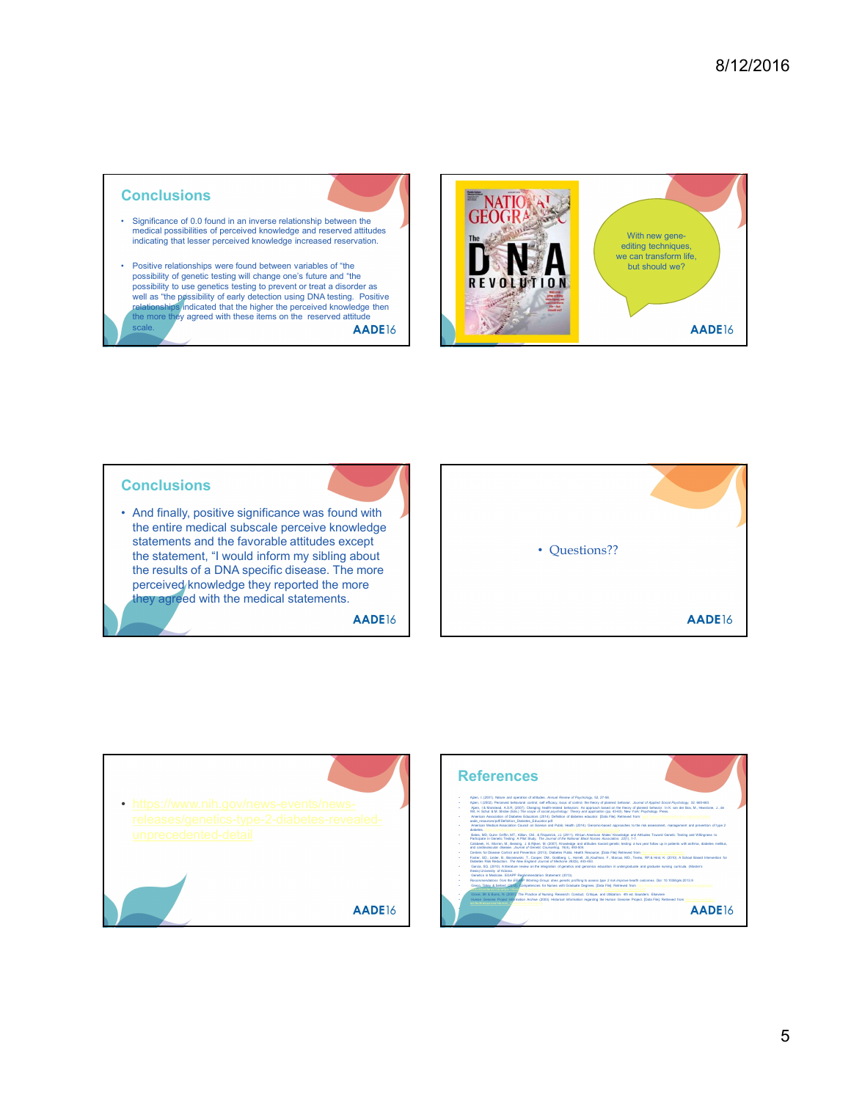#### **Conclusions**

- medical possibilities of perceived knowledge and reserved attitudes indicating that lesser perceived knowledge increased reservation.
- possibility of genetic testing will change one's future and "the **Finder as Accordity of Senative Accordity** to use genetics testing to prevent or treat a disorder as relationships indicated that the higher the perceived knowledge then **the more they agreed with these items on the reserved attitude** scale. The contract of the contract of the contract of the contract of the contract of the contract of the contract of the contract of the contract of the contract of the contract of the contract of the contract of the con



#### **Conclusions**

the entire medical subscale perceive knowledge statements and the favorable attitudes except the statement, "I would inform my sibling about the results of a DNA specific disease. The more perceived knowledge they reported the more they agreed with the medical statements.

AADE16







- 
-